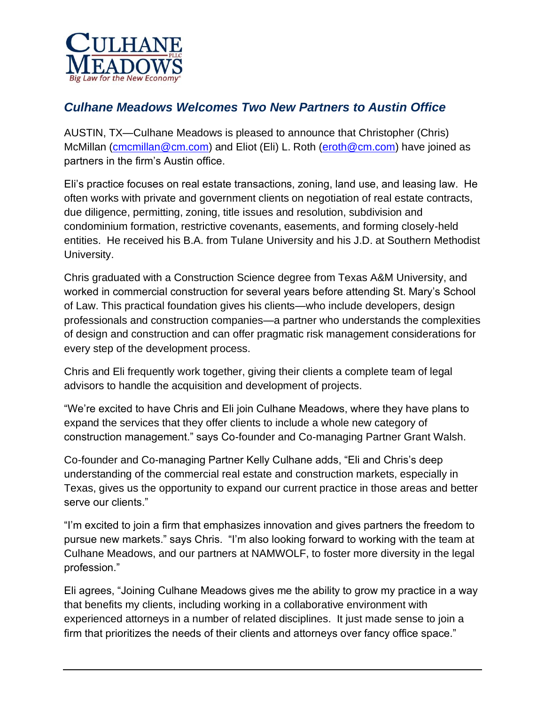

## *Culhane Meadows Welcomes Two New Partners to Austin Office*

AUSTIN, TX—Culhane Meadows is pleased to announce that Christopher (Chris) McMillan [\(cmcmillan@cm.com\)](mailto:cmcmillan@cm.com) and Eliot (Eli) L. Roth [\(eroth@cm.com\)](mailto:eroth@cm.com) have joined as partners in the firm's Austin office.

Eli's practice focuses on real estate transactions, zoning, land use, and leasing law. He often works with private and government clients on negotiation of real estate contracts, due diligence, permitting, zoning, title issues and resolution, subdivision and condominium formation, restrictive covenants, easements, and forming closely-held entities. He received his B.A. from Tulane University and his J.D. at Southern Methodist University.

Chris graduated with a Construction Science degree from Texas A&M University, and worked in commercial construction for several years before attending St. Mary's School of Law. This practical foundation gives his clients—who include developers, design professionals and construction companies—a partner who understands the complexities of design and construction and can offer pragmatic risk management considerations for every step of the development process.

Chris and Eli frequently work together, giving their clients a complete team of legal advisors to handle the acquisition and development of projects.

"We're excited to have Chris and Eli join Culhane Meadows, where they have plans to expand the services that they offer clients to include a whole new category of construction management." says Co-founder and Co-managing Partner Grant Walsh.

Co-founder and Co-managing Partner Kelly Culhane adds, "Eli and Chris's deep understanding of the commercial real estate and construction markets, especially in Texas, gives us the opportunity to expand our current practice in those areas and better serve our clients."

"I'm excited to join a firm that emphasizes innovation and gives partners the freedom to pursue new markets." says Chris. "I'm also looking forward to working with the team at Culhane Meadows, and our partners at NAMWOLF, to foster more diversity in the legal profession."

Eli agrees, "Joining Culhane Meadows gives me the ability to grow my practice in a way that benefits my clients, including working in a collaborative environment with experienced attorneys in a number of related disciplines. It just made sense to join a firm that prioritizes the needs of their clients and attorneys over fancy office space."